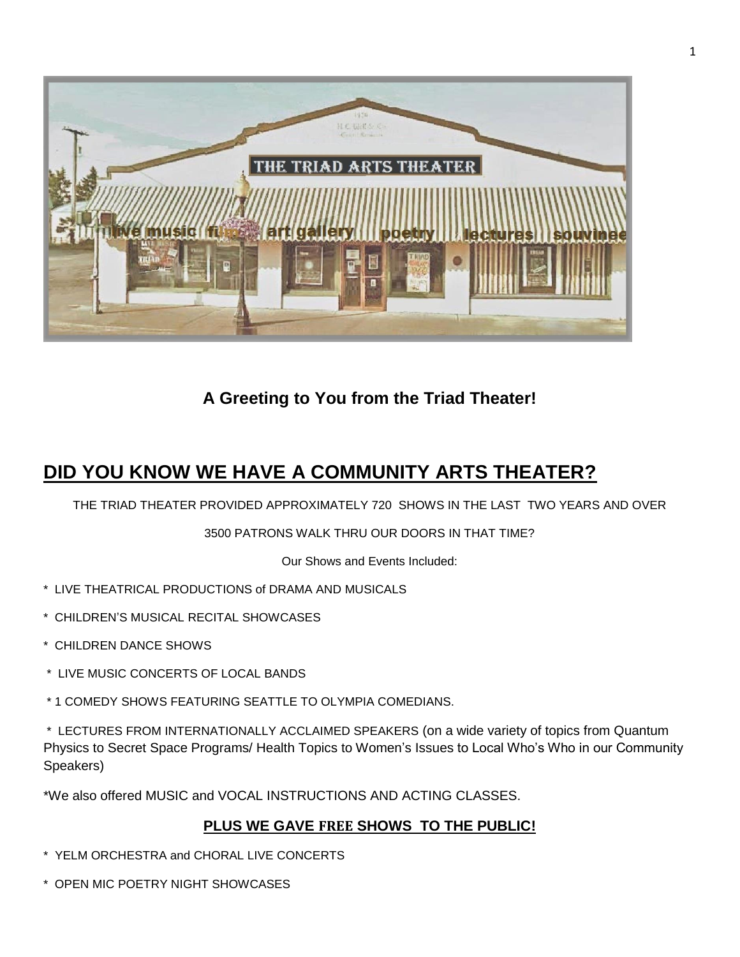

**A Greeting to You from the Triad Theater!**

# **DID YOU KNOW WE HAVE A COMMUNITY ARTS THEATER?**

THE TRIAD THEATER PROVIDED APPROXIMATELY 720 SHOWS IN THE LAST TWO YEARS AND OVER

3500 PATRONS WALK THRU OUR DOORS IN THAT TIME?

Our Shows and Events Included:

- \* LIVE THEATRICAL PRODUCTIONS of DRAMA AND MUSICALS
- \* CHILDREN'S MUSICAL RECITAL SHOWCASES
- \* CHILDREN DANCE SHOWS
- \* LIVE MUSIC CONCERTS OF LOCAL BANDS
- \* 1 COMEDY SHOWS FEATURING SEATTLE TO OLYMPIA COMEDIANS.

\* LECTURES FROM INTERNATIONALLY ACCLAIMED SPEAKERS (on a wide variety of topics from Quantum Physics to Secret Space Programs/ Health Topics to Women's Issues to Local Who's Who in our Community Speakers)

\*We also offered MUSIC and VOCAL INSTRUCTIONS AND ACTING CLASSES.

# **PLUS WE GAVE FREE SHOWS TO THE PUBLIC!**

- \* YELM ORCHESTRA and CHORAL LIVE CONCERTS
- \* OPEN MIC POETRY NIGHT SHOWCASES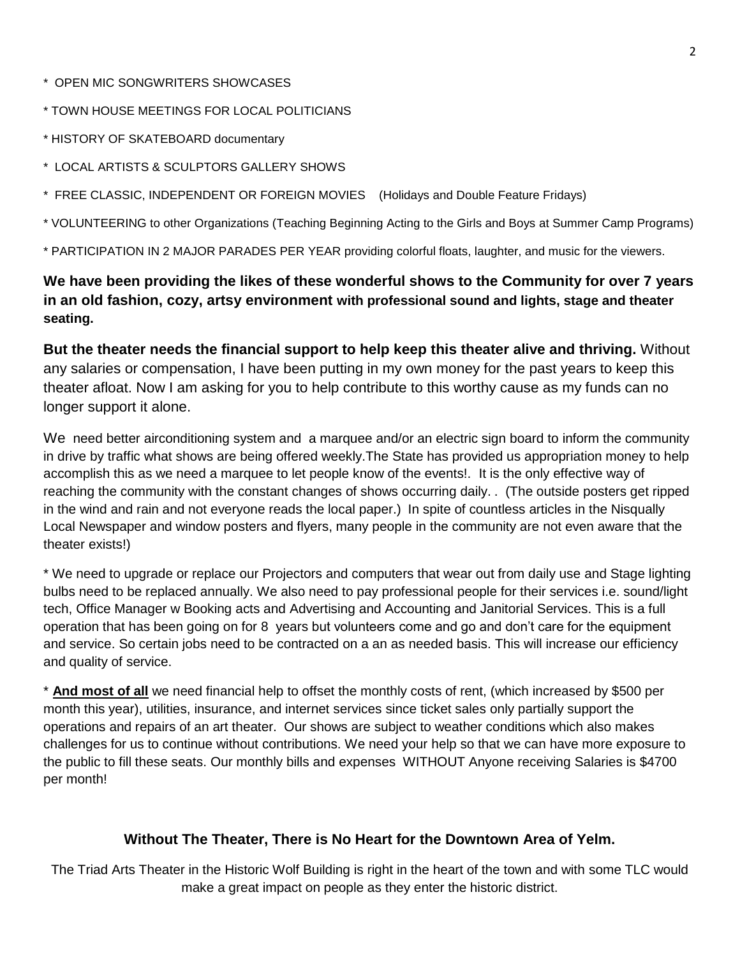- \* OPEN MIC SONGWRITERS SHOWCASES
- \* TOWN HOUSE MEETINGS FOR LOCAL POLITICIANS
- \* HISTORY OF SKATEBOARD documentary
- \* LOCAL ARTISTS & SCULPTORS GALLERY SHOWS
- \* FREE CLASSIC, INDEPENDENT OR FOREIGN MOVIES (Holidays and Double Feature Fridays)

\* VOLUNTEERING to other Organizations (Teaching Beginning Acting to the Girls and Boys at Summer Camp Programs)

\* PARTICIPATION IN 2 MAJOR PARADES PER YEAR providing colorful floats, laughter, and music for the viewers.

**We have been providing the likes of these wonderful shows to the Community for over 7 years in an old fashion, cozy, artsy environment with professional sound and lights, stage and theater seating.**

**But the theater needs the financial support to help keep this theater alive and thriving.** Without any salaries or compensation, I have been putting in my own money for the past years to keep this theater afloat. Now I am asking for you to help contribute to this worthy cause as my funds can no longer support it alone.

We need better airconditioning system and a marquee and/or an electric sign board to inform the community in drive by traffic what shows are being offered weekly.The State has provided us appropriation money to help accomplish this as we need a marquee to let people know of the events!. It is the only effective way of reaching the community with the constant changes of shows occurring daily. . (The outside posters get ripped in the wind and rain and not everyone reads the local paper.) In spite of countless articles in the Nisqually Local Newspaper and window posters and flyers, many people in the community are not even aware that the theater exists!)

\* We need to upgrade or replace our Projectors and computers that wear out from daily use and Stage lighting bulbs need to be replaced annually. We also need to pay professional people for their services i.e. sound/light tech, Office Manager w Booking acts and Advertising and Accounting and Janitorial Services. This is a full operation that has been going on for 8 years but volunteers come and go and don't care for the equipment and service. So certain jobs need to be contracted on a an as needed basis. This will increase our efficiency and quality of service.

\* **And most of all** we need financial help to offset the monthly costs of rent, (which increased by \$500 per month this year), utilities, insurance, and internet services since ticket sales only partially support the operations and repairs of an art theater. Our shows are subject to weather conditions which also makes challenges for us to continue without contributions. We need your help so that we can have more exposure to the public to fill these seats. Our monthly bills and expenses WITHOUT Anyone receiving Salaries is \$4700 per month!

#### **Without The Theater, There is No Heart for the Downtown Area of Yelm.**

The Triad Arts Theater in the Historic Wolf Building is right in the heart of the town and with some TLC would make a great impact on people as they enter the historic district.